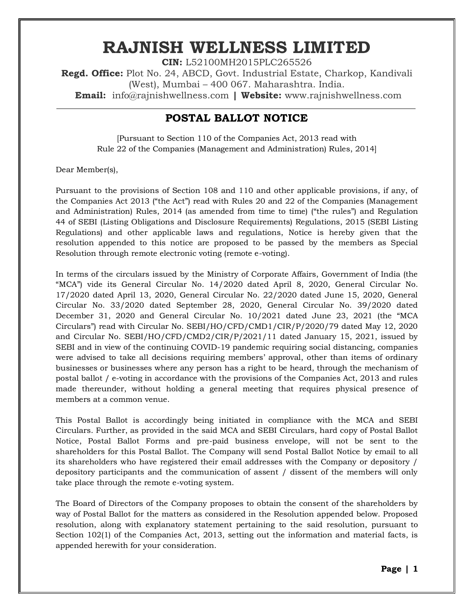# **RAJNISH WELLNESS LIMITED**

**CIN:** L52100MH2015PLC265526 **Regd. Office:** Plot No. 24, ABCD, Govt. Industrial Estate, Charkop, Kandivali (West), Mumbai – 400 067. Maharashtra. India. **Email:** [info@rajnishwellness.com](mailto:info@rajnishwellness.com) **| Website:** www.rajnishwellness.com

# **POSTAL BALLOT NOTICE**

[Pursuant to Section 110 of the Companies Act, 2013 read with Rule 22 of the Companies (Management and Administration) Rules, 2014]

Dear Member(s),

Pursuant to the provisions of Section 108 and 110 and other applicable provisions, if any, of the Companies Act 2013 ("the Act") read with Rules 20 and 22 of the Companies (Management and Administration) Rules, 2014 (as amended from time to time) ("the rules") and Regulation 44 of SEBI (Listing Obligations and Disclosure Requirements) Regulations, 2015 (SEBI Listing Regulations) and other applicable laws and regulations, Notice is hereby given that the resolution appended to this notice are proposed to be passed by the members as Special Resolution through remote electronic voting (remote e-voting).

In terms of the circulars issued by the Ministry of Corporate Affairs, Government of India (the "MCA") vide its General Circular No. 14/2020 dated April 8, 2020, General Circular No. 17/2020 dated April 13, 2020, General Circular No. 22/2020 dated June 15, 2020, General Circular No. 33/2020 dated September 28, 2020, General Circular No. 39/2020 dated December 31, 2020 and General Circular No. 10/2021 dated June 23, 2021 (the "MCA Circulars") read with Circular No. SEBI/HO/CFD/CMD1/CIR/P/2020/79 dated May 12, 2020 and Circular No. SEBI/HO/CFD/CMD2/CIR/P/2021/11 dated January 15, 2021, issued by SEBI and in view of the continuing COVID-19 pandemic requiring social distancing, companies were advised to take all decisions requiring members' approval, other than items of ordinary businesses or businesses where any person has a right to be heard, through the mechanism of postal ballot / e-voting in accordance with the provisions of the Companies Act, 2013 and rules made thereunder, without holding a general meeting that requires physical presence of members at a common venue.

This Postal Ballot is accordingly being initiated in compliance with the MCA and SEBI Circulars. Further, as provided in the said MCA and SEBI Circulars, hard copy of Postal Ballot Notice, Postal Ballot Forms and pre-paid business envelope, will not be sent to the shareholders for this Postal Ballot. The Company will send Postal Ballot Notice by email to all its shareholders who have registered their email addresses with the Company or depository / depository participants and the communication of assent / dissent of the members will only take place through the remote e-voting system.

The Board of Directors of the Company proposes to obtain the consent of the shareholders by way of Postal Ballot for the matters as considered in the Resolution appended below. Proposed resolution, along with explanatory statement pertaining to the said resolution, pursuant to Section 102(1) of the Companies Act, 2013, setting out the information and material facts, is appended herewith for your consideration.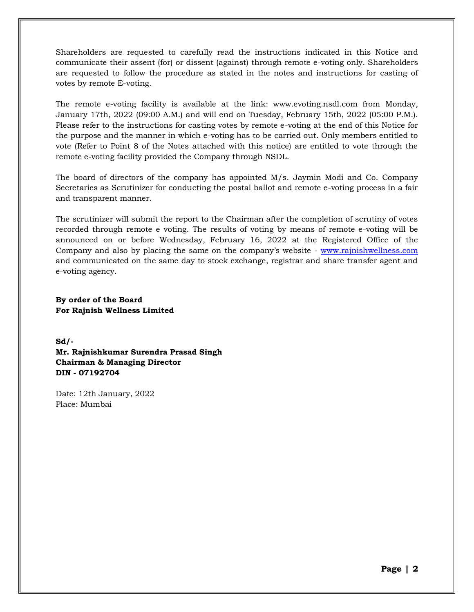Shareholders are requested to carefully read the instructions indicated in this Notice and communicate their assent (for) or dissent (against) through remote e-voting only. Shareholders are requested to follow the procedure as stated in the notes and instructions for casting of votes by remote E-voting.

The remote e-voting facility is available at the link: www.evoting.nsdl.com from Monday, January 17th, 2022 (09:00 A.M.) and will end on Tuesday, February 15th, 2022 (05:00 P.M.). Please refer to the instructions for casting votes by remote e-voting at the end of this Notice for the purpose and the manner in which e-voting has to be carried out. Only members entitled to vote (Refer to Point 8 of the Notes attached with this notice) are entitled to vote through the remote e-voting facility provided the Company through NSDL.

The board of directors of the company has appointed M/s. Jaymin Modi and Co. Company Secretaries as Scrutinizer for conducting the postal ballot and remote e-voting process in a fair and transparent manner.

The scrutinizer will submit the report to the Chairman after the completion of scrutiny of votes recorded through remote e voting. The results of voting by means of remote e-voting will be announced on or before Wednesday, February 16, 2022 at the Registered Office of the Company and also by placing the same on the company's website - [www.rajnishwellness.com](http://www.rajnishwellness.com/) and communicated on the same day to stock exchange, registrar and share transfer agent and e-voting agency.

**By order of the Board For Rajnish Wellness Limited**

**Sd/- Mr. Rajnishkumar Surendra Prasad Singh Chairman & Managing Director DIN - 07192704**

Date: 12th January, 2022 Place: Mumbai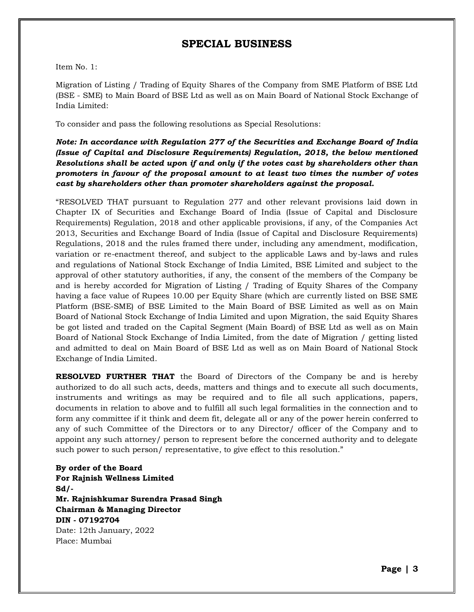## **SPECIAL BUSINESS**

Item No. 1:

Migration of Listing / Trading of Equity Shares of the Company from SME Platform of BSE Ltd (BSE - SME) to Main Board of BSE Ltd as well as on Main Board of National Stock Exchange of India Limited:

To consider and pass the following resolutions as Special Resolutions:

#### *Note: In accordance with Regulation 277 of the Securities and Exchange Board of India (Issue of Capital and Disclosure Requirements) Regulation, 2018, the below mentioned Resolutions shall be acted upon if and only if the votes cast by shareholders other than promoters in favour of the proposal amount to at least two times the number of votes cast by shareholders other than promoter shareholders against the proposal.*

"RESOLVED THAT pursuant to Regulation 277 and other relevant provisions laid down in Chapter IX of Securities and Exchange Board of India (Issue of Capital and Disclosure Requirements) Regulation, 2018 and other applicable provisions, if any, of the Companies Act 2013, Securities and Exchange Board of India (Issue of Capital and Disclosure Requirements) Regulations, 2018 and the rules framed there under, including any amendment, modification, variation or re-enactment thereof, and subject to the applicable Laws and by-laws and rules and regulations of National Stock Exchange of India Limited, BSE Limited and subject to the approval of other statutory authorities, if any, the consent of the members of the Company be and is hereby accorded for Migration of Listing / Trading of Equity Shares of the Company having a face value of Rupees 10.00 per Equity Share (which are currently listed on BSE SME Platform (BSE-SME) of BSE Limited to the Main Board of BSE Limited as well as on Main Board of National Stock Exchange of India Limited and upon Migration, the said Equity Shares be got listed and traded on the Capital Segment (Main Board) of BSE Ltd as well as on Main Board of National Stock Exchange of India Limited, from the date of Migration / getting listed and admitted to deal on Main Board of BSE Ltd as well as on Main Board of National Stock Exchange of India Limited.

**RESOLVED FURTHER THAT** the Board of Directors of the Company be and is hereby authorized to do all such acts, deeds, matters and things and to execute all such documents, instruments and writings as may be required and to file all such applications, papers, documents in relation to above and to fulfill all such legal formalities in the connection and to form any committee if it think and deem fit, delegate all or any of the power herein conferred to any of such Committee of the Directors or to any Director/ officer of the Company and to appoint any such attorney/ person to represent before the concerned authority and to delegate such power to such person/ representative, to give effect to this resolution."

**By order of the Board For Rajnish Wellness Limited Sd/- Mr. Rajnishkumar Surendra Prasad Singh Chairman & Managing Director DIN - 07192704** Date: 12th January, 2022 Place: Mumbai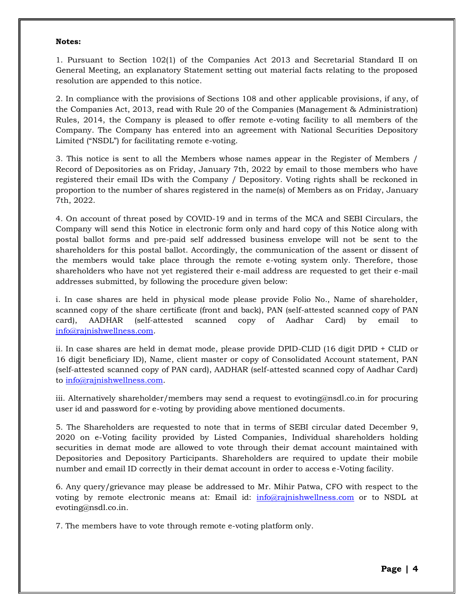#### **Notes:**

1. Pursuant to Section 102(1) of the Companies Act 2013 and Secretarial Standard II on General Meeting, an explanatory Statement setting out material facts relating to the proposed resolution are appended to this notice.

2. In compliance with the provisions of Sections 108 and other applicable provisions, if any, of the Companies Act, 2013, read with Rule 20 of the Companies (Management & Administration) Rules, 2014, the Company is pleased to offer remote e-voting facility to all members of the Company. The Company has entered into an agreement with National Securities Depository Limited ("NSDL") for facilitating remote e-voting.

3. This notice is sent to all the Members whose names appear in the Register of Members / Record of Depositories as on Friday, January 7th, 2022 by email to those members who have registered their email IDs with the Company / Depository. Voting rights shall be reckoned in proportion to the number of shares registered in the name(s) of Members as on Friday, January 7th, 2022.

4. On account of threat posed by COVID-19 and in terms of the MCA and SEBI Circulars, the Company will send this Notice in electronic form only and hard copy of this Notice along with postal ballot forms and pre-paid self addressed business envelope will not be sent to the shareholders for this postal ballot. Accordingly, the communication of the assent or dissent of the members would take place through the remote e-voting system only. Therefore, those shareholders who have not yet registered their e-mail address are requested to get their e-mail addresses submitted, by following the procedure given below:

i. In case shares are held in physical mode please provide Folio No., Name of shareholder, scanned copy of the share certificate (front and back), PAN (self-attested scanned copy of PAN card), AADHAR (self-attested scanned copy of Aadhar Card) by email to [info@rajnishwellness.com.](mailto:info@rajnishwellness.com)

ii. In case shares are held in demat mode, please provide DPID-CLID (16 digit DPID + CLID or 16 digit beneficiary ID), Name, client master or copy of Consolidated Account statement, PAN (self-attested scanned copy of PAN card), AADHAR (self-attested scanned copy of Aadhar Card) to [info@rajnishwellness.com.](mailto:info@rajnishwellness.com)

iii. Alternatively shareholder/members may send a request to evoting@nsdl.co.in for procuring user id and password for e-voting by providing above mentioned documents.

5. The Shareholders are requested to note that in terms of SEBI circular dated December 9, 2020 on e-Voting facility provided by Listed Companies, Individual shareholders holding securities in demat mode are allowed to vote through their demat account maintained with Depositories and Depository Participants. Shareholders are required to update their mobile number and email ID correctly in their demat account in order to access e-Voting facility.

6. Any query/grievance may please be addressed to Mr. Mihir Patwa, CFO with respect to the voting by remote electronic means at: Email id: [info@rajnishwellness.com](mailto:info@rajnishwellness.com) or to NSDL at evoting@nsdl.co.in.

7. The members have to vote through remote e-voting platform only.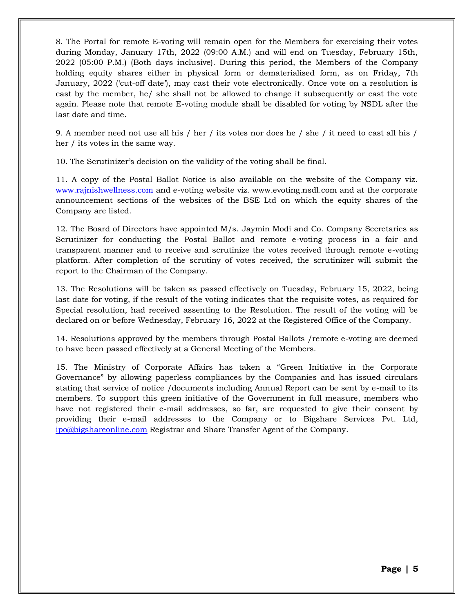8. The Portal for remote E-voting will remain open for the Members for exercising their votes during Monday, January 17th, 2022 (09:00 A.M.) and will end on Tuesday, February 15th, 2022 (05:00 P.M.) (Both days inclusive). During this period, the Members of the Company holding equity shares either in physical form or dematerialised form, as on Friday, 7th January, 2022 ('cut-off date'), may cast their vote electronically. Once vote on a resolution is cast by the member, he/ she shall not be allowed to change it subsequently or cast the vote again. Please note that remote E-voting module shall be disabled for voting by NSDL after the last date and time.

9. A member need not use all his / her / its votes nor does he / she / it need to cast all his / her / its votes in the same way.

10. The Scrutinizer's decision on the validity of the voting shall be final.

11. A copy of the Postal Ballot Notice is also available on the website of the Company viz. [www.rajnishwellness.com](http://www.rajnishwellness.com/) and e-voting website viz. www.evoting.nsdl.com and at the corporate announcement sections of the websites of the BSE Ltd on which the equity shares of the Company are listed.

12. The Board of Directors have appointed M/s. Jaymin Modi and Co. Company Secretaries as Scrutinizer for conducting the Postal Ballot and remote e-voting process in a fair and transparent manner and to receive and scrutinize the votes received through remote e-voting platform. After completion of the scrutiny of votes received, the scrutinizer will submit the report to the Chairman of the Company.

13. The Resolutions will be taken as passed effectively on Tuesday, February 15, 2022, being last date for voting, if the result of the voting indicates that the requisite votes, as required for Special resolution, had received assenting to the Resolution. The result of the voting will be declared on or before Wednesday, February 16, 2022 at the Registered Office of the Company.

14. Resolutions approved by the members through Postal Ballots /remote e-voting are deemed to have been passed effectively at a General Meeting of the Members.

15. The Ministry of Corporate Affairs has taken a "Green Initiative in the Corporate Governance" by allowing paperless compliances by the Companies and has issued circulars stating that service of notice /documents including Annual Report can be sent by e-mail to its members. To support this green initiative of the Government in full measure, members who have not registered their e-mail addresses, so far, are requested to give their consent by providing their e-mail addresses to the Company or to Bigshare Services Pvt. Ltd, [ipo@bigshareonline.com](mailto:ipo@bigshareonline.com) Registrar and Share Transfer Agent of the Company.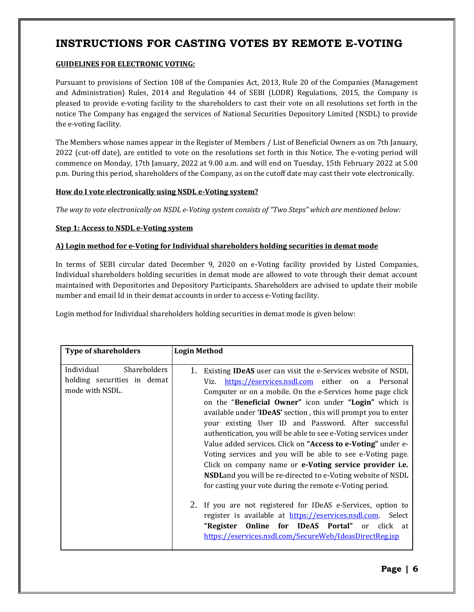# **INSTRUCTIONS FOR CASTING VOTES BY REMOTE E-VOTING**

#### **GUIDELINES FOR ELECTRONIC VOTING:**

Pursuant to provisions of Section 108 of the Companies Act, 2013, Rule 20 of the Companies (Management and Administration) Rules, 2014 and Regulation 44 of SEBI (LODR) Regulations, 2015, the Company is pleased to provide e-voting facility to the shareholders to cast their vote on all resolutions set forth in the notice The Company has engaged the services of National Securities Depository Limited (NSDL) to provide the e-voting facility.

The Members whose names appear in the Register of Members / List of Beneficial Owners as on 7th January, 2022 (cut-off date), are entitled to vote on the resolutions set forth in this Notice. The e-voting period will commence on Monday, 17th January, 2022 at 9.00 a.m. and will end on Tuesday, 15th February 2022 at 5.00 p.m. During this period, shareholders of the Company, as on the cutoff date may cast their vote electronically.

#### **How do I vote electronically using NSDL e-Voting system?**

*The way to vote electronically on NSDL e-Voting system consists of "Two Steps" which are mentioned below:*

#### **Step 1: Access to NSDL e-Voting system**

#### **A) Login method for e-Voting for Individual shareholders holding securities in demat mode**

In terms of SEBI circular dated December 9, 2020 on e-Voting facility provided by Listed Companies, Individual shareholders holding securities in demat mode are allowed to vote through their demat account maintained with Depositories and Depository Participants. Shareholders are advised to update their mobile number and email Id in their demat accounts in order to access e-Voting facility.

Login method for Individual shareholders holding securities in demat mode is given below:

| <b>Type of shareholders</b>                                                         | <b>Login Method</b>                                                                                                                                                                                                                                                                                                                                                                                                                                                                                                                                                                                                                                                                                                                                                                                                                                                                                                                                                                                                                    |  |
|-------------------------------------------------------------------------------------|----------------------------------------------------------------------------------------------------------------------------------------------------------------------------------------------------------------------------------------------------------------------------------------------------------------------------------------------------------------------------------------------------------------------------------------------------------------------------------------------------------------------------------------------------------------------------------------------------------------------------------------------------------------------------------------------------------------------------------------------------------------------------------------------------------------------------------------------------------------------------------------------------------------------------------------------------------------------------------------------------------------------------------------|--|
| Individual<br><b>Shareholders</b><br>holding securities in demat<br>mode with NSDL. | 1.<br>Existing <b>IDeAS</b> user can visit the e-Services website of NSDL<br>https://eservices.nsdl.com either on a Personal<br>Viz.<br>Computer or on a mobile. On the e-Services home page click<br>on the "Beneficial Owner" icon under "Login" which is<br>available under 'IDeAS' section, this will prompt you to enter<br>your existing User ID and Password. After successful<br>authentication, you will be able to see e-Voting services under<br>Value added services. Click on "Access to e-Voting" under e-<br>Voting services and you will be able to see e-Voting page.<br>Click on company name or e-Voting service provider i.e.<br><b>NSDL</b> and you will be re-directed to e-Voting website of NSDL<br>for casting your vote during the remote e-Voting period.<br>2.<br>If you are not registered for IDeAS e-Services, option to<br>register is available at https://eservices.nsdl.com. Select<br>"Register Online for IDeAS Portal" or click<br>at<br>https://eservices.nsdl.com/SecureWeb/IdeasDirectReg.jsp |  |
|                                                                                     |                                                                                                                                                                                                                                                                                                                                                                                                                                                                                                                                                                                                                                                                                                                                                                                                                                                                                                                                                                                                                                        |  |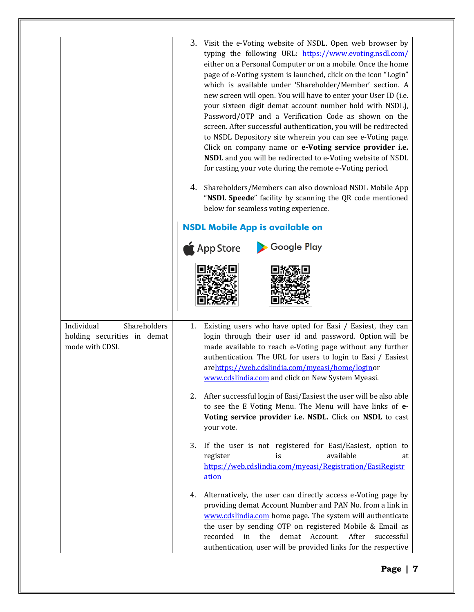|                                                                             | 3. Visit the e-Voting website of NSDL. Open web browser by<br>typing the following URL: https://www.evoting.nsdl.com/<br>either on a Personal Computer or on a mobile. Once the home<br>page of e-Voting system is launched, click on the icon "Login"<br>which is available under 'Shareholder/Member' section. A<br>new screen will open. You will have to enter your User ID (i.e.<br>your sixteen digit demat account number hold with NSDL),<br>Password/OTP and a Verification Code as shown on the<br>screen. After successful authentication, you will be redirected<br>to NSDL Depository site wherein you can see e-Voting page.<br>Click on company name or e-Voting service provider i.e.<br>NSDL and you will be redirected to e-Voting website of NSDL<br>for casting your vote during the remote e-Voting period. |  |  |  |
|-----------------------------------------------------------------------------|----------------------------------------------------------------------------------------------------------------------------------------------------------------------------------------------------------------------------------------------------------------------------------------------------------------------------------------------------------------------------------------------------------------------------------------------------------------------------------------------------------------------------------------------------------------------------------------------------------------------------------------------------------------------------------------------------------------------------------------------------------------------------------------------------------------------------------|--|--|--|
|                                                                             | Shareholders/Members can also download NSDL Mobile App<br>4.<br>"NSDL Speede" facility by scanning the QR code mentioned<br>below for seamless voting experience.                                                                                                                                                                                                                                                                                                                                                                                                                                                                                                                                                                                                                                                                |  |  |  |
|                                                                             | <b>NSDL Mobile App is available on</b>                                                                                                                                                                                                                                                                                                                                                                                                                                                                                                                                                                                                                                                                                                                                                                                           |  |  |  |
|                                                                             | Google Play<br>$\bigwedge$ App Store                                                                                                                                                                                                                                                                                                                                                                                                                                                                                                                                                                                                                                                                                                                                                                                             |  |  |  |
|                                                                             |                                                                                                                                                                                                                                                                                                                                                                                                                                                                                                                                                                                                                                                                                                                                                                                                                                  |  |  |  |
| Individual<br>Shareholders<br>holding securities in demat<br>mode with CDSL | Existing users who have opted for Easi / Easiest, they can<br>1.<br>login through their user id and password. Option will be<br>made available to reach e-Voting page without any further<br>authentication. The URL for users to login to Easi / Easiest<br>arehttps://web.cdslindia.com/myeasi/home/loginor<br>www.cdslindia.com and click on New System Myeasi.                                                                                                                                                                                                                                                                                                                                                                                                                                                               |  |  |  |
|                                                                             | After successful login of Easi/Easiest the user will be also able<br>2.<br>to see the E Voting Menu. The Menu will have links of e-<br>Voting service provider i.e. NSDL. Click on NSDL to cast<br>your vote.                                                                                                                                                                                                                                                                                                                                                                                                                                                                                                                                                                                                                    |  |  |  |
|                                                                             | If the user is not registered for Easi/Easiest, option to<br>3.<br>available<br>register<br>is<br>at<br>https://web.cdslindia.com/myeasi/Registration/EasiRegistr<br>ation                                                                                                                                                                                                                                                                                                                                                                                                                                                                                                                                                                                                                                                       |  |  |  |
|                                                                             | Alternatively, the user can directly access e-Voting page by<br>4.<br>providing demat Account Number and PAN No. from a link in<br>www.cdslindia.com home page. The system will authenticate<br>the user by sending OTP on registered Mobile & Email as<br>demat<br>Account.<br>recorded<br>the<br>After<br>in<br>successful<br>authentication, user will be provided links for the respective                                                                                                                                                                                                                                                                                                                                                                                                                                   |  |  |  |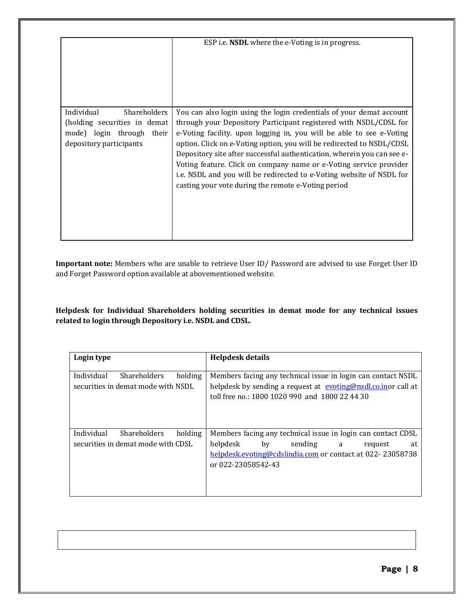|                                                      | ESP <i>i.e.</i> <b>NSDL</b> where the e-Voting is in progress.                                                                                                                                                                                                                                                                                                                                                                |
|------------------------------------------------------|-------------------------------------------------------------------------------------------------------------------------------------------------------------------------------------------------------------------------------------------------------------------------------------------------------------------------------------------------------------------------------------------------------------------------------|
| Individual<br><b>Shareholders</b>                    | You can also login using the login credentials of your demat account                                                                                                                                                                                                                                                                                                                                                          |
| (holding securities in demat                         | through your Depository Participant registered with NSDL/CDSL for                                                                                                                                                                                                                                                                                                                                                             |
| mode) login through their<br>depository participants | e-Voting facility. upon logging in, you will be able to see e-Voting<br>option. Click on e-Voting option, you will be redirected to NSDL/CDSL<br>Depository site after successful authentication, wherein you can see e-<br>Voting feature. Click on company name or e-Voting service provider<br>i.e. NSDL and you will be redirected to e-Voting website of NSDL for<br>casting your vote during the remote e-Voting period |

**Important note:** Members who are unable to retrieve User ID/ Password are advised to use Forget User ID and Forget Password option available at abovementioned website.

**Helpdesk for Individual Shareholders holding securities in demat mode for any technical issues related to login through Depository i.e. NSDL and CDSL.**

| Login type |                                                           |         | Helpdesk details                                                                                                                                                                |
|------------|-----------------------------------------------------------|---------|---------------------------------------------------------------------------------------------------------------------------------------------------------------------------------|
| Individual | <b>Shareholders</b><br>securities in demat mode with NSDL | holding | Members facing any technical issue in login can contact NSDL<br>helpdesk by sending a request at evoting@nsdl.co.inor call at<br>toll free no.: 1800 1020 990 and 1800 22 44 30 |
| Individual | <b>Shareholders</b>                                       | holding | Members facing any technical issue in login can contact CDSL                                                                                                                    |
|            | securities in demat mode with CDSL                        |         | helpdesk<br>sending<br>by<br>at<br>a<br>request<br>helpdesk.evoting@cdslindia.com or contact at 022-23058738<br>or 022-23058542-43                                              |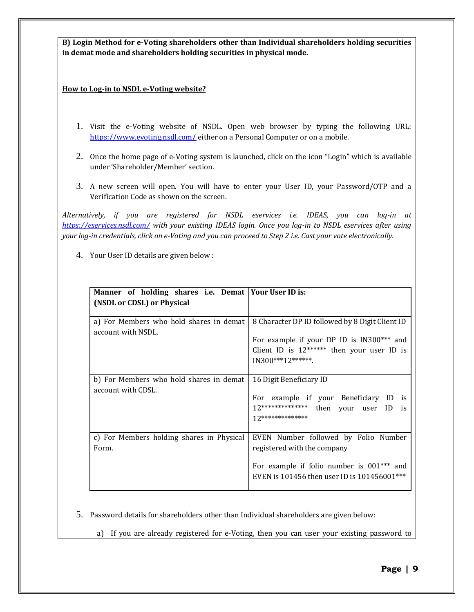**B) Login Method for e-Voting shareholders other than Individual shareholders holding securities in demat mode and shareholders holding securities in physical mode.**

**How to Log-in to NSDL e-Voting website?**

- 1. Visit the e-Voting website of NSDL. Open web browser by typing the following URL: <https://www.evoting.nsdl.com/> either on a Personal Computer or on a mobile.
- 2. Once the home page of e-Voting system is launched, click on the icon "Login" which is available under 'Shareholder/Member' section.
- 3. A new screen will open. You will have to enter your User ID, your Password/OTP and a Verification Code as shown on the screen.

*Alternatively, if you are registered for NSDL eservices i.e. IDEAS, you can log-in at <https://eservices.nsdl.com/> with your existing IDEAS login. Once you log-in to NSDL eservices after using your log-in credentials, click on e-Voting and you can proceed to Step 2 i.e. Cast your vote electronically.*

4. Your User ID details are given below :

| Manner of holding shares i.e. Demat Your User ID is:          |                                                                                                                                                                   |
|---------------------------------------------------------------|-------------------------------------------------------------------------------------------------------------------------------------------------------------------|
| (NSDL or CDSL) or Physical                                    |                                                                                                                                                                   |
| a) For Members who hold shares in demat<br>account with NSDL. | 8 Character DP ID followed by 8 Digit Client ID<br>For example if your DP ID is IN300*** and<br>Client ID is $12*****$ then your user ID is<br>$IN300***12******$ |
| b) For Members who hold shares in demat<br>account with CDSL. | 16 Digit Beneficiary ID<br>For example if your Beneficiary ID is<br>12************** then your user ID is<br>12***************                                    |
| c) For Members holding shares in Physical<br>Form.            | EVEN Number followed by Folio Number<br>registered with the company<br>For example if folio number is 001*** and<br>EVEN is 101456 then user ID is 101456001***   |

- 5. Password details for shareholders other than Individual shareholders are given below:
	- a) If you are already registered for e-Voting, then you can user your existing password to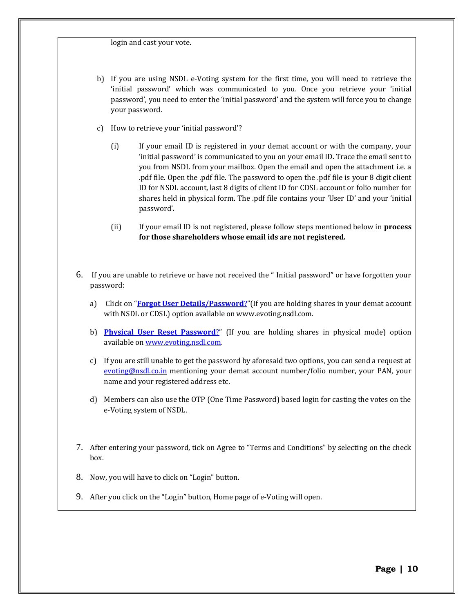login and cast your vote.

- b) If you are using NSDL e-Voting system for the first time, you will need to retrieve the 'initial password' which was communicated to you. Once you retrieve your 'initial password', you need to enter the 'initial password' and the system will force you to change your password.
- c) How to retrieve your 'initial password'?
	- (i) If your email ID is registered in your demat account or with the company, your 'initial password' is communicated to you on your email ID. Trace the email sent to you from NSDL from your mailbox. Open the email and open the attachment i.e. a .pdf file. Open the .pdf file. The password to open the .pdf file is your 8 digit client ID for NSDL account, last 8 digits of client ID for CDSL account or folio number for shares held in physical form. The .pdf file contains your 'User ID' and your 'initial password'.
	- (ii) If your email ID is not registered, please follow steps mentioned below in **process for those shareholders whose email ids are not registered.**
- 6. If you are unable to retrieve or have not received the " Initial password" or have forgotten your password:
	- a) Click on "**[Forgot User Details/Password](https://www.evoting.nsdl.com/eVotingWeb/commonhtmls/NewUser.jsp)**?"(If you are holding shares in your demat account with NSDL or CDSL) option available on www.evoting.nsdl.com.
	- b) **[Physical User Reset Password](https://www.evoting.nsdl.com/eVotingWeb/commonhtmls/PhysicalUser.jsp)**?" (If you are holding shares in physical mode) option available on [www.evoting.nsdl.com.](http://www.evoting.nsdl.com/)
	- c) If you are still unable to get the password by aforesaid two options, you can send a request at [evoting@nsdl.co.in](mailto:evoting@nsdl.co.in) mentioning your demat account number/folio number, your PAN, your name and your registered address etc.
	- d) Members can also use the OTP (One Time Password) based login for casting the votes on the e-Voting system of NSDL.
- 7. After entering your password, tick on Agree to "Terms and Conditions" by selecting on the check box.
- 8. Now, you will have to click on "Login" button.
- 9. After you click on the "Login" button, Home page of e-Voting will open.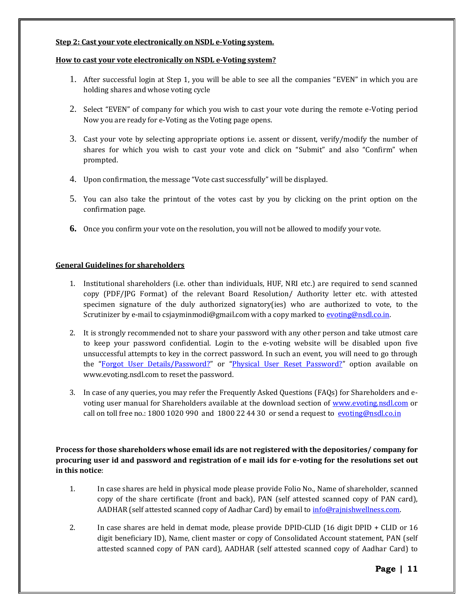#### **Step 2: Cast your vote electronically on NSDL e-Voting system.**

#### **How to cast your vote electronically on NSDL e-Voting system?**

- 1. After successful login at Step 1, you will be able to see all the companies "EVEN" in which you are holding shares and whose voting cycle
- 2. Select "EVEN" of company for which you wish to cast your vote during the remote e-Voting period Now you are ready for e-Voting as the Voting page opens.
- 3. Cast your vote by selecting appropriate options i.e. assent or dissent, verify/modify the number of shares for which you wish to cast your vote and click on "Submit" and also "Confirm" when prompted.
- 4. Upon confirmation, the message "Vote cast successfully" will be displayed.
- 5. You can also take the printout of the votes cast by you by clicking on the print option on the confirmation page.
- **6.** Once you confirm your vote on the resolution, you will not be allowed to modify your vote.

#### **General Guidelines for shareholders**

- 1. Institutional shareholders (i.e. other than individuals, HUF, NRI etc.) are required to send scanned copy (PDF/JPG Format) of the relevant Board Resolution/ Authority letter etc. with attested specimen signature of the duly authorized signatory(ies) who are authorized to vote, to the Scrutinizer by e-mail to csjayminmodi@gmail.com with a copy marked to [evoting@nsdl.co.in.](mailto:evoting@nsdl.co.in)
- 2. It is strongly recommended not to share your password with any other person and take utmost care to keep your password confidential. Login to the e-voting website will be disabled upon five unsuccessful attempts to key in the correct password. In such an event, you will need to go through the "[Forgot User Details/Password?](https://www.evoting.nsdl.com/eVotingWeb/commonhtmls/NewUser.jsp)" or "[Physical User Reset Password?](https://www.evoting.nsdl.com/eVotingWeb/commonhtmls/PhysicalUser.jsp)" option available on www.evoting.nsdl.com to reset the password.
- 3. In case of any queries, you may refer the Frequently Asked Questions (FAQs) for Shareholders and evoting user manual for Shareholders available at the download section of [www.evoting.nsdl.com](http://www.evoting.nsdl.com/) or call on toll free no.: 1800 1020 990 and 1800 22 44 30 or send a request to  $evoting@nsdl.co.in$

**Process for those shareholders whose email ids are not registered with the depositories/ company for procuring user id and password and registration of e mail ids for e-voting for the resolutions set out in this notice**:

- 1. In case shares are held in physical mode please provide Folio No., Name of shareholder, scanned copy of the share certificate (front and back), PAN (self attested scanned copy of PAN card), AADHAR (self attested scanned copy of Aadhar Card) by email to info@rajnishwellness.com.
- 2. In case shares are held in demat mode, please provide DPID-CLID (16 digit DPID + CLID or 16 digit beneficiary ID), Name, client master or copy of Consolidated Account statement, PAN (self attested scanned copy of PAN card), AADHAR (self attested scanned copy of Aadhar Card) to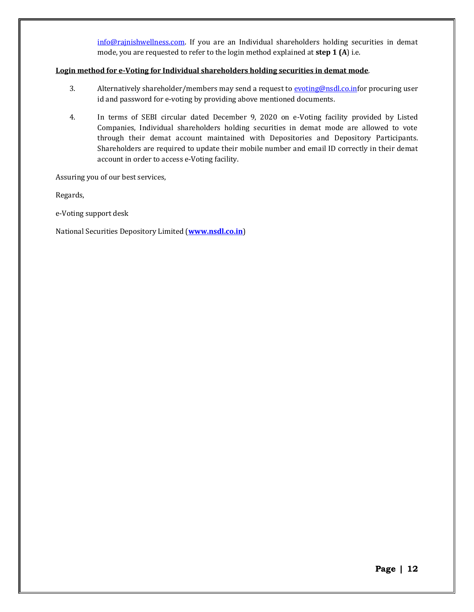[info@rajnishwellness.com.](mailto:info@rajnishwellness.com) If you are an Individual shareholders holding securities in demat mode, you are requested to refer to the login method explained at **step 1 (A**) i.e.

#### **Login method for e-Voting for Individual shareholders holding securities in demat mode**.

- 3. Alternatively shareholder/members may send a request to [evoting@nsdl.co.inf](mailto:evoting@nsdl.co.in)or procuring user id and password for e-voting by providing above mentioned documents.
- 4. In terms of SEBI circular dated December 9, 2020 on e-Voting facility provided by Listed Companies, Individual shareholders holding securities in demat mode are allowed to vote through their demat account maintained with Depositories and Depository Participants. Shareholders are required to update their mobile number and email ID correctly in their demat account in order to access e-Voting facility.

Assuring you of our best services,

Regards,

e-Voting support desk

National Securities Depository Limited (**[www.nsdl.co.in](http://www.nsdl.co.in/)**)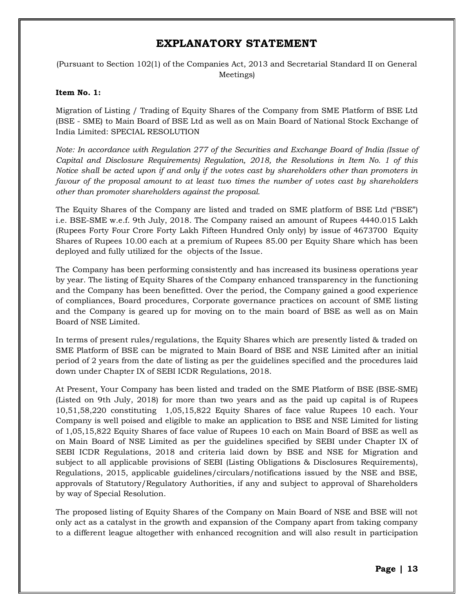## **EXPLANATORY STATEMENT**

(Pursuant to Section 102(1) of the Companies Act, 2013 and Secretarial Standard II on General Meetings)

#### **Item No. 1:**

Migration of Listing / Trading of Equity Shares of the Company from SME Platform of BSE Ltd (BSE - SME) to Main Board of BSE Ltd as well as on Main Board of National Stock Exchange of India Limited: SPECIAL RESOLUTION

*Note: In accordance with Regulation 277 of the Securities and Exchange Board of India (Issue of Capital and Disclosure Requirements) Regulation, 2018, the Resolutions in Item No. 1 of this Notice shall be acted upon if and only if the votes cast by shareholders other than promoters in favour of the proposal amount to at least two times the number of votes cast by shareholders other than promoter shareholders against the proposal.*

The Equity Shares of the Company are listed and traded on SME platform of BSE Ltd ("BSE") i.e. BSE-SME w.e.f. 9th July, 2018. The Company raised an amount of Rupees 4440.015 Lakh (Rupees Forty Four Crore Forty Lakh Fifteen Hundred Only only) by issue of 4673700 Equity Shares of Rupees 10.00 each at a premium of Rupees 85.00 per Equity Share which has been deployed and fully utilized for the objects of the Issue.

The Company has been performing consistently and has increased its business operations year by year. The listing of Equity Shares of the Company enhanced transparency in the functioning and the Company has been benefitted. Over the period, the Company gained a good experience of compliances, Board procedures, Corporate governance practices on account of SME listing and the Company is geared up for moving on to the main board of BSE as well as on Main Board of NSE Limited.

In terms of present rules/regulations, the Equity Shares which are presently listed & traded on SME Platform of BSE can be migrated to Main Board of BSE and NSE Limited after an initial period of 2 years from the date of listing as per the guidelines specified and the procedures laid down under Chapter IX of SEBI ICDR Regulations, 2018.

At Present, Your Company has been listed and traded on the SME Platform of BSE (BSE-SME) (Listed on 9th July, 2018) for more than two years and as the paid up capital is of Rupees 10,51,58,220 constituting 1,05,15,822 Equity Shares of face value Rupees 10 each. Your Company is well poised and eligible to make an application to BSE and NSE Limited for listing of 1,05,15,822 Equity Shares of face value of Rupees 10 each on Main Board of BSE as well as on Main Board of NSE Limited as per the guidelines specified by SEBI under Chapter IX of SEBI ICDR Regulations, 2018 and criteria laid down by BSE and NSE for Migration and subject to all applicable provisions of SEBI (Listing Obligations & Disclosures Requirements), Regulations, 2015, applicable guidelines/circulars/notifications issued by the NSE and BSE, approvals of Statutory/Regulatory Authorities, if any and subject to approval of Shareholders by way of Special Resolution.

The proposed listing of Equity Shares of the Company on Main Board of NSE and BSE will not only act as a catalyst in the growth and expansion of the Company apart from taking company to a different league altogether with enhanced recognition and will also result in participation